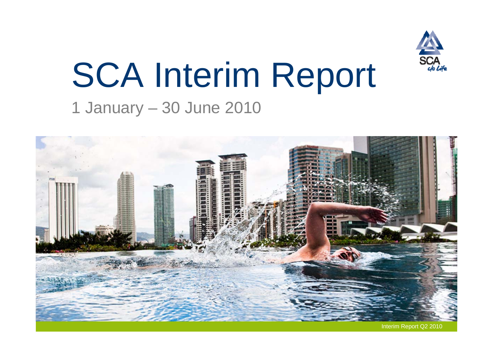

# SCA Interim Report

### 1 January – 30 June 2010

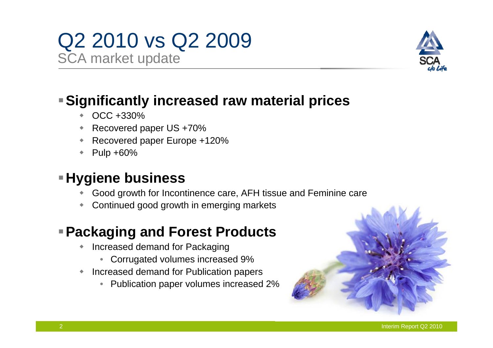# Q2 2010 vs Q2 2009

SCA market update



#### **Significantly increased raw material prices**

- $\blacklozenge$ OCC +330%
- ٠ Recovered paper US +70%
- ٠ Recovered paper Europe +120%
- ٠ Pulp +60%

#### **Hygiene business**

- ٠ Good growth for Incontinence care, AFH tissue and Feminine care
- ٠ Continued good growth in emerging markets

#### **Packaging and Forest Products**

- $\blacklozenge$  Increased demand for Packaging
	- Corrugated volumes increased 9%
- ٠ Increased demand for Publication papers
	- Publication paper volumes increased 2%

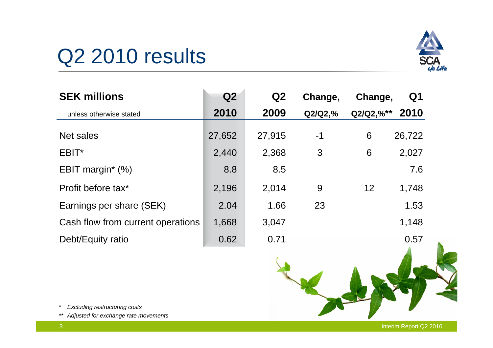# Q<sub>2</sub> 2010 results



| <b>SEK millions</b>               | Q2     | Q <sub>2</sub> | Change,    | Change,        | Q <sub>1</sub> |
|-----------------------------------|--------|----------------|------------|----------------|----------------|
| unless otherwise stated           | 2010   | 2009           | $Q2/Q2,\%$ | $Q2/Q2, \%$ ** | 2010           |
| Net sales                         | 27,652 | 27,915         | $-1$       | 6              | 26,722         |
| EBIT*                             | 2,440  | 2,368          | 3          | 6              | 2,027          |
| EBIT margin* (%)                  | 8.8    | 8.5            |            |                | 7.6            |
| Profit before tax*                | 2,196  | 2,014          | 9          | 12             | 1,748          |
| Earnings per share (SEK)          | 2.04   | 1.66           | 23         |                | 1.53           |
| Cash flow from current operations | 1,668  | 3,047          |            |                | 1,148          |
| Debt/Equity ratio                 | 0.62   | 0.71           |            |                | 0.57           |



- *\* Excluding restructuring costs*
- *\*\* Adjusted for exchange rate movements*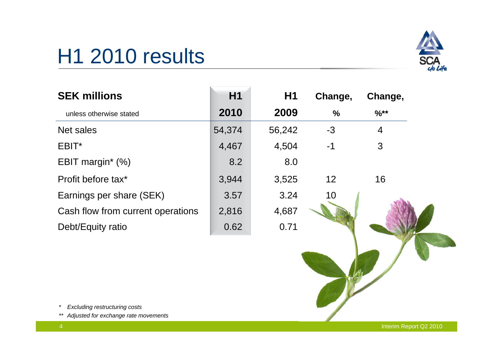# H1 2010 results



| <b>SEK millions</b>               | H1     | H1     | Change,       | Change,          |  |
|-----------------------------------|--------|--------|---------------|------------------|--|
| unless otherwise stated           | 2010   | 2009   | $\frac{0}{0}$ | $\frac{9}{6}$ ** |  |
| Net sales                         | 54,374 | 56,242 | -3            | 4                |  |
| EBIT*                             | 4,467  | 4,504  | $-1$          | 3                |  |
| EBIT margin* (%)                  | 8.2    | 8.0    |               |                  |  |
| Profit before tax*                | 3,944  | 3,525  | 12            | 16               |  |
| Earnings per share (SEK)          | 3.57   | 3.24   | 10            |                  |  |
| Cash flow from current operations | 2,816  | 4,687  |               |                  |  |
| Debt/Equity ratio                 | 0.62   | 0.71   |               |                  |  |

*\* Excluding restructuring costs*

*\*\* Adjusted for exchange rate movements*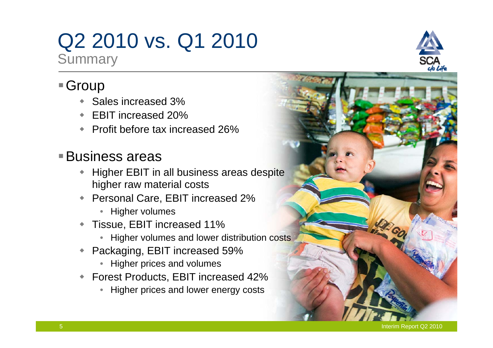# Q2 2010 vs. Q1 2010

**Summary** 

#### ■ Group

- ◆ Sales increased 3%
- EBIT increased 20%
- ◆ Profit before tax increased 26%

#### Business areas

- $\bullet$  Higher EBIT in all business areas despite higher raw material costs
- Personal Care, EBIT increased 2%
	- Higher volumes
- $\blacklozenge$  Tissue, EBIT increased 11%
	- Higher volumes and lower distribution costs
- ◆ Packaging, EBIT increased 59%
	- Higher prices and volumes
- Forest Products, EBIT increased 42%
	- Higher prices and lower energy costs

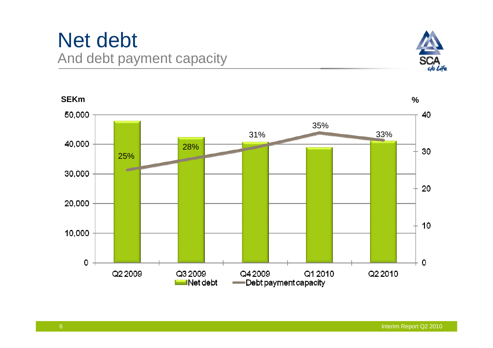### Net debt And debt payment capacity



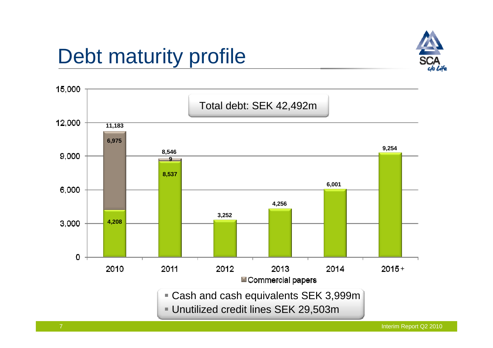# Debt maturity profile





Interim Report Q2 2010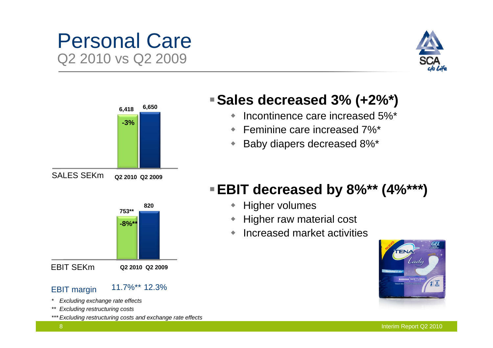### Personal Care Q2 2010 vs Q2 2009





#### **Sales decreased 3% (+2%\*)**

- $\blacklozenge$ Incontinence care increased 5%\*
- Feminine care increased 7%\*
- $\blacklozenge$ Baby diapers decreased 8%\*



- $\begin{array}{c} \bullet \\ \bullet \end{array}$ Higher volumes
- **Higher raw material cost**
- ٠ Increased market activities



EBIT SEKm

EBIT margin 11.7%\*\* 12.3%

**Q2 2010 Q2 2009**

- *\* Excluding exchange rate effects*
- *\*\* Excluding restructuring costs*
- *\*\*\* Excluding restructuring costs and exchange rate effects*

Interim Report Q2 2010

8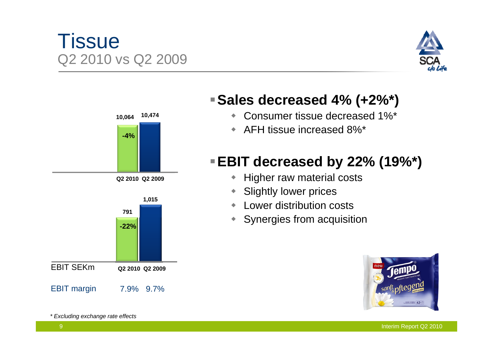#### Tissue Q2 2010 vs Q2 2009





**Sales decreased 4% (+2%\*)**

- $\blacklozenge$ Consumer tissue decreased 1%\*
- AFH tissue increased 8%\*

#### **EBIT decreased by 22% (19%\*)**

- $\blacklozenge$ Higher raw material costs
- $\blacklozenge$ Slightly lower prices
- Lower distribution costs
- $\begin{array}{c} \bullet \\ \bullet \end{array}$ Synergies from acquisition



*\* Excluding exchange rate effects*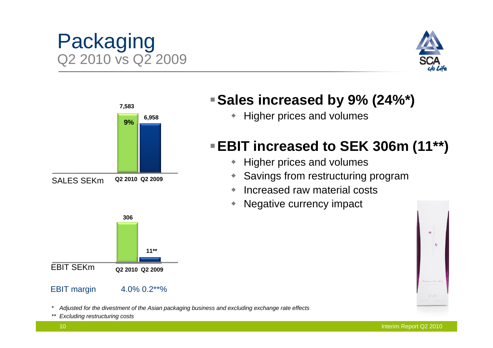#### **6,958 7,583 Sales increased by 9% (24%\*)**  • Higher prices and volumes

### **EBIT increased to SEK 306m (11\*\*)**

- $\blacklozenge$ Higher prices and volumes
- $\blacklozenge$ Savings from restructuring program
- $\begin{array}{c} \bullet \\ \bullet \end{array}$ Increased raw material costs
- ۰ Negative currency impact

EBIT SEKm

SALES SEKm

10

*\* Adjusted for the divestment of the Asian packaging business and excluding exchange rate effects*

*\*\* Excluding restructuring costs*



**11\*\***







**9%**

**306**

**Q2 2010 Q2 2009**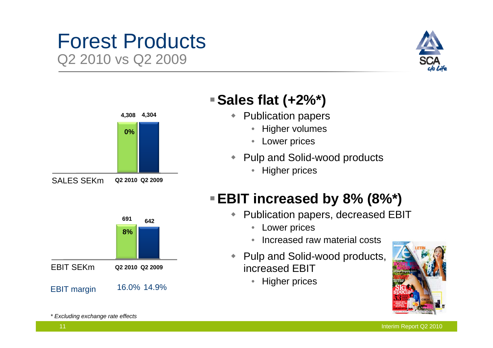#### Forest Products Q2 2010 vs Q2 2009





#### **Sales flat (+2%\*)**

- $\blacklozenge$  Publication papers
	- $\bullet$ Higher volumes
	- $\bullet$ Lower prices
- Pulp and Solid-wood products
	- $\bullet$ Higher prices

#### **EBIT increased by 8% (8%\*)**

- $\begin{array}{c} \bullet \\ \bullet \end{array}$  Publication papers, decreased EBIT
	- Lower prices
	- •Increased raw material costs
- $\blacklozenge$  Pulp and Solid-wood products, increased EBIT
	- $\bullet$ Higher prices



EBIT SEKm

*\* Excluding exchange rate effects* 

EBIT margin 16.0% 14.9%

**8%**

**642 <sup>691</sup>**

**Q2 2010 Q2 2009**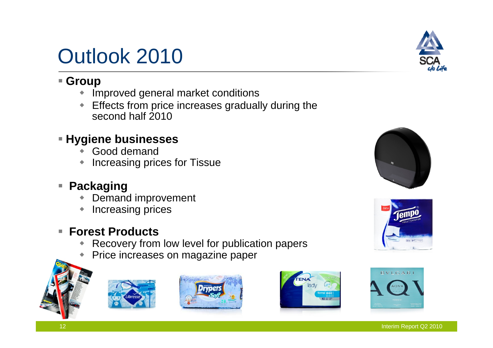## Outlook 2010

#### **Group**

- $\blacklozenge$ Improved general market conditions
- $\blacklozenge$  Effects from price increases gradually during the second half 2010

#### **Hygiene businesses**

- $\blacklozenge$ Good demand
- $\blacklozenge$ Increasing prices for Tissue

#### **Packaging**

- $\blacklozenge$ Demand improvement
- $\ddot{\bullet}$ Increasing prices

#### П **Forest Products**

- $\bullet$ Recovery from low level for publication papers
- $\bullet$ Price increases on magazine paper















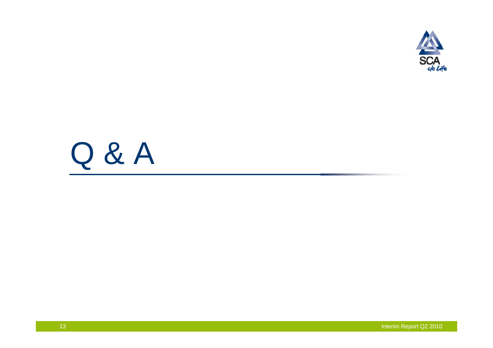

# Q & A